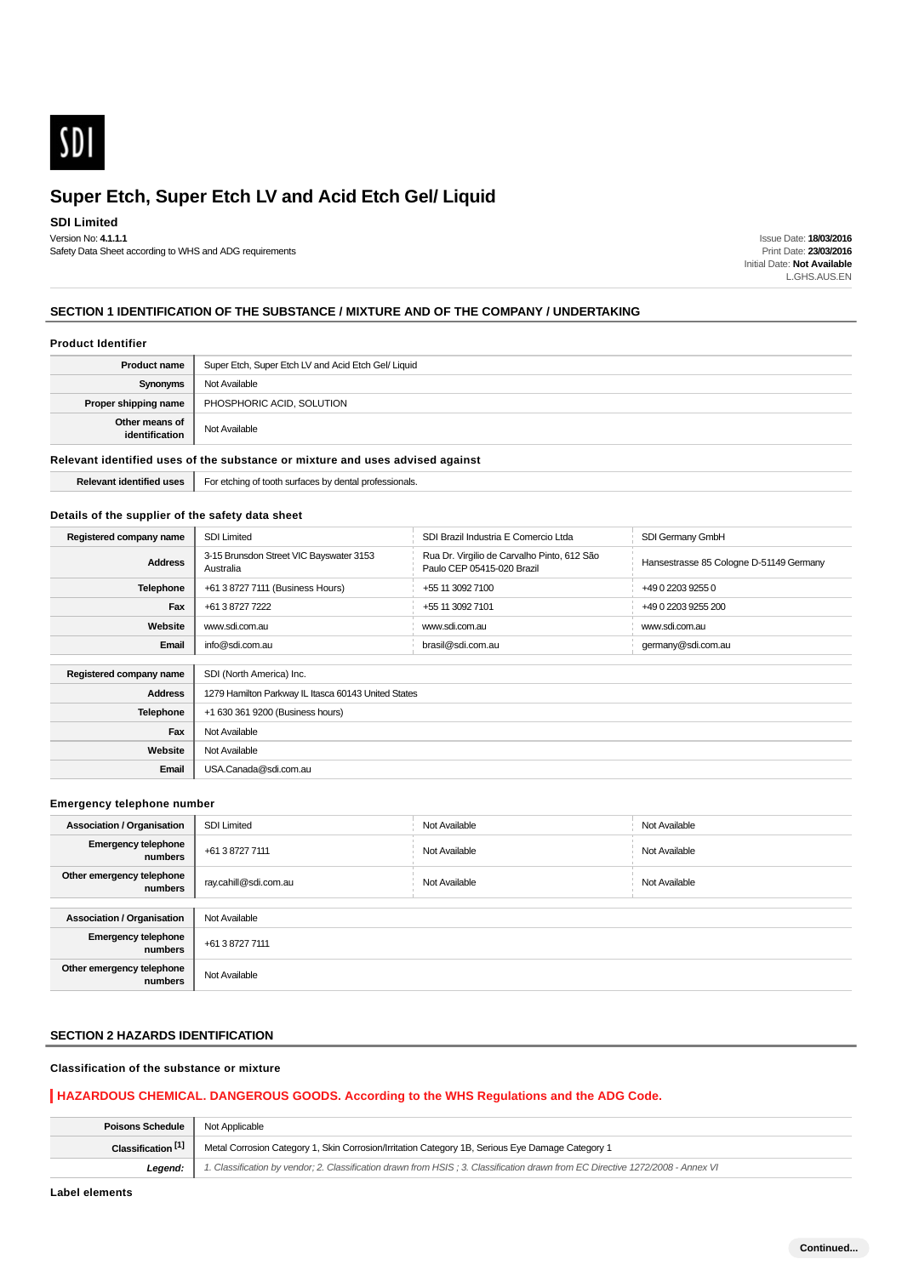

#### **SDI Limited**

Version No: **4.1.1.1** Safety Data Sheet according to WHS and ADG requirements

Issue Date: **18/03/2016** Print Date: **23/03/2016** Initial Date: **Not Available** L.GHS.AUS.EN

#### **SECTION 1 IDENTIFICATION OF THE SUBSTANCE / MIXTURE AND OF THE COMPANY / UNDERTAKING**

#### **Product Identifier**

| <b>Product name</b>              | Super Etch, Super Etch LV and Acid Etch Gel/ Liquid |
|----------------------------------|-----------------------------------------------------|
| Synonyms                         | Not Available                                       |
| Proper shipping name             | PHOSPHORIC ACID, SOLUTION                           |
| Other means of<br>identification | Not Available                                       |

#### **Relevant identified uses of the substance or mixture and uses advised against**

**Relevant identified uses** For etching of tooth surfaces by dental professionals.

#### **Details of the supplier of the safety data sheet**

| Registered company name | <b>SDI Limited</b>                                   | SDI Brazil Industria E Comercio Ltda                                      | SDI Germany GmbH                        |
|-------------------------|------------------------------------------------------|---------------------------------------------------------------------------|-----------------------------------------|
| <b>Address</b>          | 3-15 Brunsdon Street VIC Bayswater 3153<br>Australia | Rua Dr. Virgilio de Carvalho Pinto, 612 São<br>Paulo CEP 05415-020 Brazil | Hansestrasse 85 Cologne D-51149 Germany |
| <b>Telephone</b>        | +61 3 8727 7111 (Business Hours)                     | +55 11 3092 7100                                                          | +49 0 2203 9255 0                       |
| Fax                     | +61 3 8727 7222                                      | +55 11 3092 7101                                                          | +49 0 2203 9255 200                     |
| Website                 | www.sdi.com.au                                       | www.sdi.com.au                                                            | www.sdi.com.au                          |
| Email                   | info@sdi.com.au                                      | brasil@sdi.com.au                                                         | germany@sdi.com.au                      |
|                         |                                                      |                                                                           |                                         |
| Registered company name | SDI (North America) Inc.                             |                                                                           |                                         |
| <b>Address</b>          | 1279 Hamilton Parkway IL Itasca 60143 United States  |                                                                           |                                         |
| <b>Telephone</b>        | +1 630 361 9200 (Business hours)                     |                                                                           |                                         |
| Fax                     | Not Available                                        |                                                                           |                                         |
| Website                 | Not Available                                        |                                                                           |                                         |
| Email                   | USA.Canada@sdi.com.au                                |                                                                           |                                         |

#### **Emergency telephone number**

| <b>Association / Organisation</b>     | <b>SDI Limited</b>    | Not Available | Not Available |
|---------------------------------------|-----------------------|---------------|---------------|
| <b>Emergency telephone</b><br>numbers | +61 3 8727 7111       | Not Available | Not Available |
| Other emergency telephone<br>numbers  | ray.cahill@sdi.com.au | Not Available | Not Available |
|                                       |                       |               |               |
| <b>Association / Organisation</b>     | Not Available         |               |               |
| <b>Emergency telephone</b><br>numbers | +61 3 8727 7111       |               |               |
| Other emergency telephone<br>numbers  | Not Available         |               |               |

## **SECTION 2 HAZARDS IDENTIFICATION**

#### **Classification of the substance or mixture**

#### **HAZARDOUS CHEMICAL. DANGEROUS GOODS. According to the WHS Regulations and the ADG Code.**

| <b>Poisons Schedule</b>       | Not Applicable                                                                                                                 |
|-------------------------------|--------------------------------------------------------------------------------------------------------------------------------|
| Classification <sup>[1]</sup> | Metal Corrosion Category 1, Skin Corrosion/Irritation Category 1B, Serious Eye Damage Category 1                               |
| Legend:                       | 1. Classification by vendor; 2. Classification drawn from HSIS; 3. Classification drawn from EC Directive 1272/2008 - Annex VI |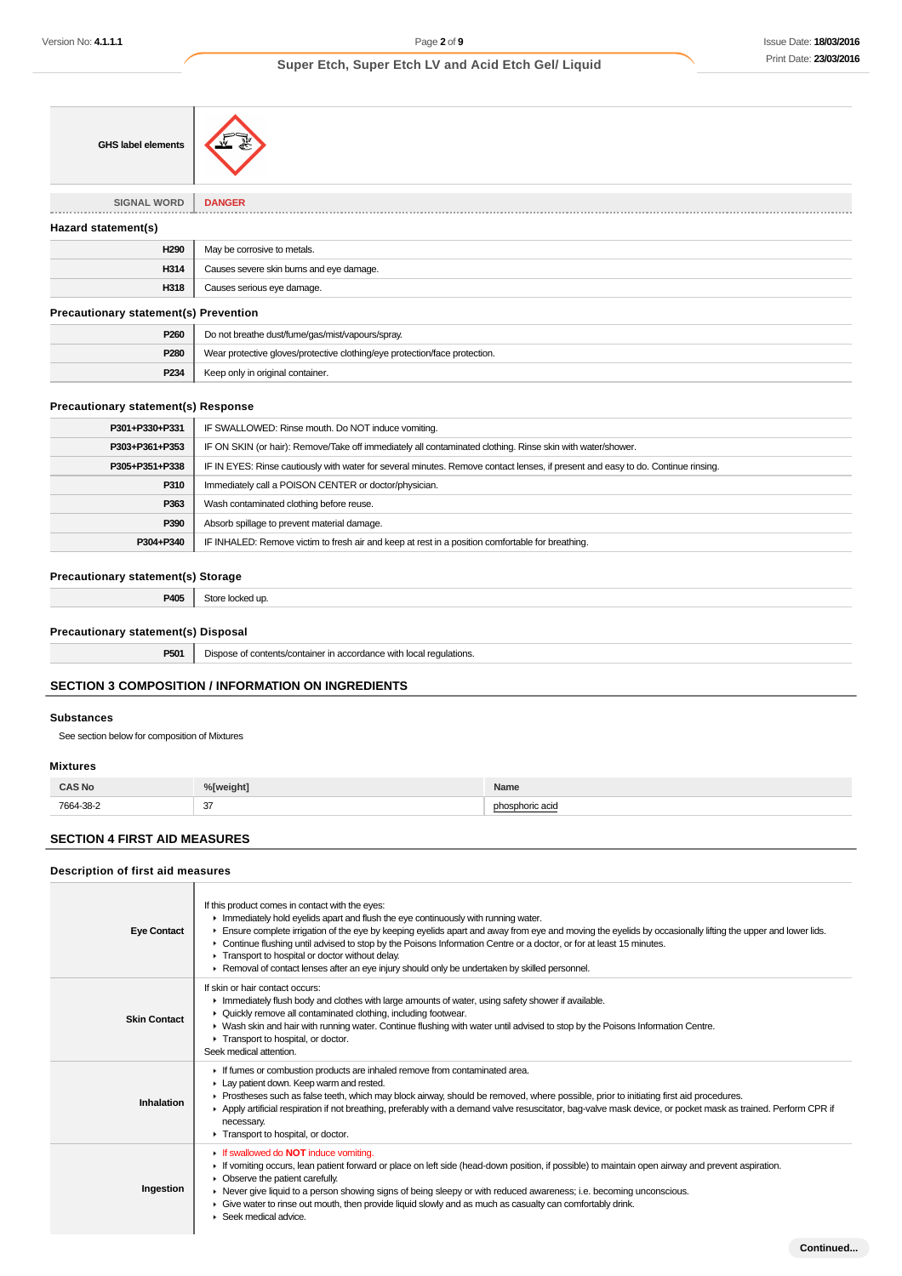| <b>GHS label elements</b>                    |                                                                            |
|----------------------------------------------|----------------------------------------------------------------------------|
| <b>SIGNAL WORD</b>                           | <b>DANGER</b>                                                              |
| Hazard statement(s)                          |                                                                            |
| H <sub>290</sub>                             | May be corrosive to metals.                                                |
| H314                                         | Causes severe skin burns and eye damage.                                   |
| H318                                         | Causes serious eye damage.                                                 |
| <b>Precautionary statement(s) Prevention</b> |                                                                            |
| P260                                         | Do not breathe dust/fume/gas/mist/vapours/spray.                           |
| P280                                         | Wear protective gloves/protective clothing/eye protection/face protection. |
| P234                                         | Keep only in original container.                                           |

| P301+P330+P331 | IF SWALLOWED: Rinse mouth. Do NOT induce vomiting.                                                                               |
|----------------|----------------------------------------------------------------------------------------------------------------------------------|
| P303+P361+P353 | IF ON SKIN (or hair): Remove/Take off immediately all contaminated clothing. Rinse skin with water/shower.                       |
| P305+P351+P338 | IF IN EYES: Rinse cautiously with water for several minutes. Remove contact lenses, if present and easy to do. Continue rinsing. |
| P310           | Immediately call a POISON CENTER or doctor/physician.                                                                            |
| P363           | Wash contaminated clothing before reuse.                                                                                         |
| P390           | Absorb spillage to prevent material damage.                                                                                      |
| P304+P340      | IF INHALED: Remove victim to fresh air and keep at rest in a position comfortable for breathing.                                 |
|                |                                                                                                                                  |

#### **Precautionary statement(s) Storage**

| P405 | Store locked up. |
|------|------------------|
|      |                  |

### **Precautionary statement(s) Disposal**

**P501** Dispose of contents/container in accordance with local regulations.

## **SECTION 3 COMPOSITION / INFORMATION ON INGREDIENTS**

#### **Substances**

See section below for composition of Mixtures

#### **Mixtures**

Г

| <b>CAS No</b><br>_____ | %[weight]           | Name            |
|------------------------|---------------------|-----------------|
| 7664-38-2<br>.         | 27<br>-97<br>$\sim$ | phosphoric acid |

### **SECTION 4 FIRST AID MEASURES**

⊣

#### **Description of first aid measures**

| <b>Eye Contact</b>  | If this product comes in contact with the eyes:<br>Inmediately hold eyelids apart and flush the eye continuously with running water.<br>Ensure complete irrigation of the eye by keeping eyelids apart and away from eye and moving the eyelids by occasionally lifting the upper and lower lids.<br>▶ Continue flushing until advised to stop by the Poisons Information Centre or a doctor, or for at least 15 minutes.<br>Transport to hospital or doctor without delay.<br>► Removal of contact lenses after an eye injury should only be undertaken by skilled personnel. |
|---------------------|--------------------------------------------------------------------------------------------------------------------------------------------------------------------------------------------------------------------------------------------------------------------------------------------------------------------------------------------------------------------------------------------------------------------------------------------------------------------------------------------------------------------------------------------------------------------------------|
| <b>Skin Contact</b> | If skin or hair contact occurs:<br>In Immediately flush body and clothes with large amounts of water, using safety shower if available.<br>• Quickly remove all contaminated clothing, including footwear.<br>► Wash skin and hair with running water. Continue flushing with water until advised to stop by the Poisons Information Centre.<br>Transport to hospital, or doctor.<br>Seek medical attention.                                                                                                                                                                   |
| Inhalation          | If fumes or combustion products are inhaled remove from contaminated area.<br>Lay patient down. Keep warm and rested.<br>► Prostheses such as false teeth, which may block airway, should be removed, where possible, prior to initiating first aid procedures.<br>Apply artificial respiration if not breathing, preferably with a demand valve resuscitator, bag-valve mask device, or pocket mask as trained. Perform CPR if<br>necessary.<br>Transport to hospital, or doctor.                                                                                             |
| Ingestion           | <b>If swallowed do NOT induce vomiting.</b><br>If vomiting occurs, lean patient forward or place on left side (head-down position, if possible) to maintain open airway and prevent aspiration.<br>$\triangleright$ Observe the patient carefully.<br>▶ Never give liquid to a person showing signs of being sleepy or with reduced awareness; i.e. becoming unconscious.<br>• Give water to rinse out mouth, then provide liquid slowly and as much as casualty can comfortably drink.<br>$\blacktriangleright$ Seek medical advice.                                          |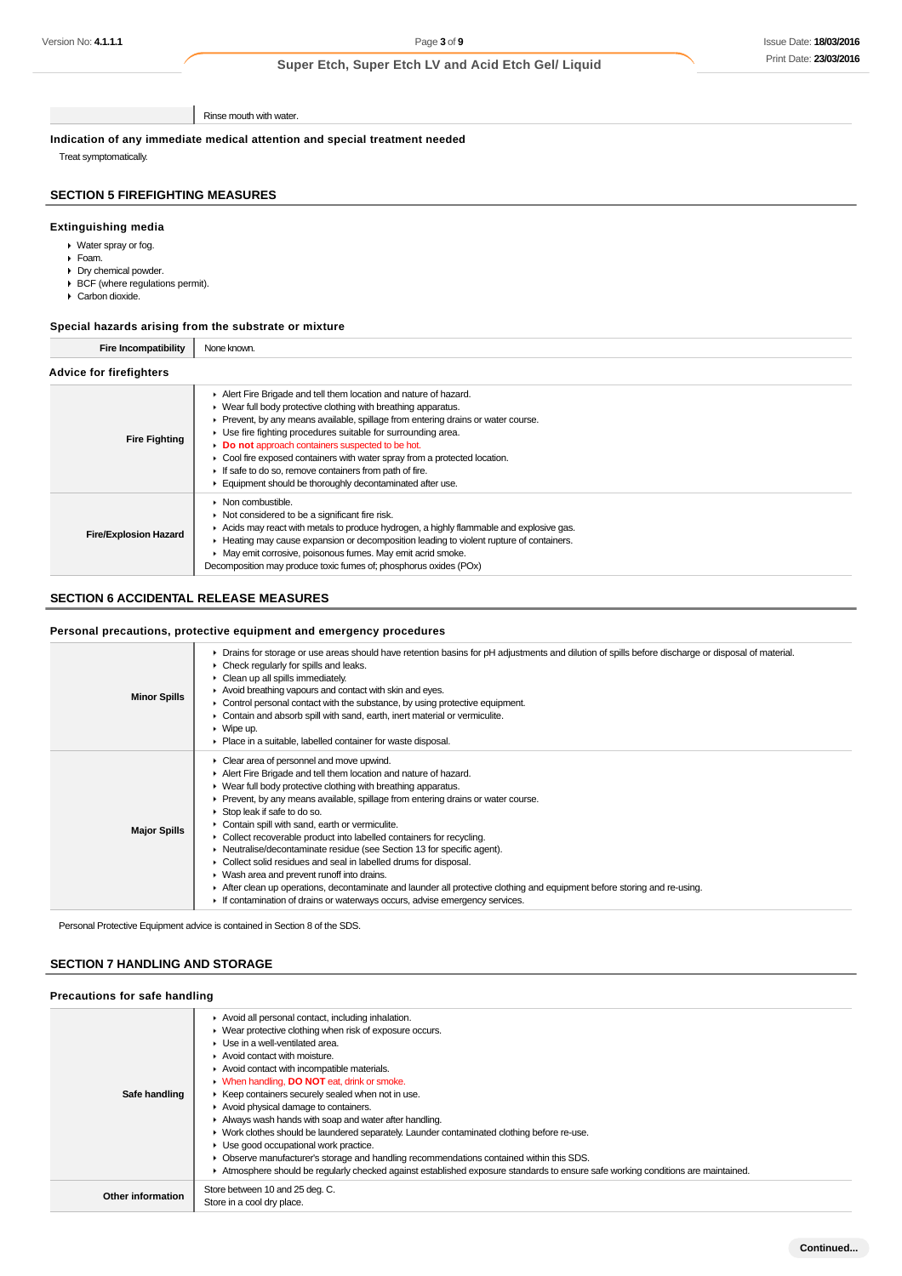Rinse mouth with water.

**Indication of any immediate medical attention and special treatment needed**

Treat symptomatically.

## **SECTION 5 FIREFIGHTING MEASURES**

## **Extinguishing media**

- Water spray or fog.
- Foam.
- Dry chemical powder.
- BCF (where regulations permit).
- Carbon dioxide.

## **Special hazards arising from the substrate or mixture**

**Fire Incompatibility** None known.

## **Advice for firefighters**

| <b>Fire Fighting</b>         | Alert Fire Brigade and tell them location and nature of hazard.<br>• Wear full body protective clothing with breathing apparatus.<br>► Prevent, by any means available, spillage from entering drains or water course.<br>Use fire fighting procedures suitable for surrounding area.<br>Do not approach containers suspected to be hot.<br>• Cool fire exposed containers with water spray from a protected location.<br>If safe to do so, remove containers from path of fire.<br>Equipment should be thoroughly decontaminated after use. |  |
|------------------------------|----------------------------------------------------------------------------------------------------------------------------------------------------------------------------------------------------------------------------------------------------------------------------------------------------------------------------------------------------------------------------------------------------------------------------------------------------------------------------------------------------------------------------------------------|--|
| <b>Fire/Explosion Hazard</b> | $\triangleright$ Non combustible.<br>$\triangleright$ Not considered to be a significant fire risk.<br>Acids may react with metals to produce hydrogen, a highly flammable and explosive gas.<br>► Heating may cause expansion or decomposition leading to violent rupture of containers.<br>• May emit corrosive, poisonous fumes. May emit acrid smoke.<br>Decomposition may produce toxic fumes of; phosphorus oxides (POx)                                                                                                               |  |

#### **SECTION 6 ACCIDENTAL RELEASE MEASURES**

### **Personal precautions, protective equipment and emergency procedures**

| <b>Minor Spills</b> | ▶ Drains for storage or use areas should have retention basins for pH adjustments and dilution of spills before discharge or disposal of material.<br>$\triangleright$ Check regularly for spills and leaks.<br>$\triangleright$ Clean up all spills immediately.<br>Avoid breathing vapours and contact with skin and eyes.<br>$\triangleright$ Control personal contact with the substance, by using protective equipment.<br>Contain and absorb spill with sand, earth, inert material or vermiculite.<br>$\triangleright$ Wipe up.<br>• Place in a suitable, labelled container for waste disposal.                                                                                                                                                                                                                                |
|---------------------|----------------------------------------------------------------------------------------------------------------------------------------------------------------------------------------------------------------------------------------------------------------------------------------------------------------------------------------------------------------------------------------------------------------------------------------------------------------------------------------------------------------------------------------------------------------------------------------------------------------------------------------------------------------------------------------------------------------------------------------------------------------------------------------------------------------------------------------|
| <b>Major Spills</b> | • Clear area of personnel and move upwind.<br>Alert Fire Brigade and tell them location and nature of hazard.<br>▶ Wear full body protective clothing with breathing apparatus.<br>► Prevent, by any means available, spillage from entering drains or water course.<br>Stop leak if safe to do so.<br>Contain spill with sand, earth or vermiculite.<br>• Collect recoverable product into labelled containers for recycling.<br>• Neutralise/decontaminate residue (see Section 13 for specific agent).<br>• Collect solid residues and seal in labelled drums for disposal.<br>• Wash area and prevent runoff into drains.<br>After clean up operations, decontaminate and launder all protective clothing and equipment before storing and re-using.<br>If contamination of drains or waterways occurs, advise emergency services. |

Personal Protective Equipment advice is contained in Section 8 of the SDS.

## **SECTION 7 HANDLING AND STORAGE**

| Precautions for safe handling |                                                                                                                                                                                                                                                                                                                                                                                                                                                                                                                                                                                                                                                                                                                                                                                                                                                                      |  |
|-------------------------------|----------------------------------------------------------------------------------------------------------------------------------------------------------------------------------------------------------------------------------------------------------------------------------------------------------------------------------------------------------------------------------------------------------------------------------------------------------------------------------------------------------------------------------------------------------------------------------------------------------------------------------------------------------------------------------------------------------------------------------------------------------------------------------------------------------------------------------------------------------------------|--|
| Safe handling                 | Avoid all personal contact, including inhalation.<br>▶ Wear protective clothing when risk of exposure occurs.<br>$\blacktriangleright$ Use in a well-ventilated area.<br>Avoid contact with moisture.<br>Avoid contact with incompatible materials.<br><b>N</b> When handling, <b>DO NOT</b> eat, drink or smoke.<br>▶ Keep containers securely sealed when not in use.<br>Avoid physical damage to containers.<br>Always wash hands with soap and water after handling.<br>• Work clothes should be laundered separately. Launder contaminated clothing before re-use.<br>$\blacktriangleright$ Use good occupational work practice.<br>• Observe manufacturer's storage and handling recommendations contained within this SDS.<br>Atmosphere should be regularly checked against established exposure standards to ensure safe working conditions are maintained. |  |
| Other information             | Store between 10 and 25 deg. C.<br>Store in a cool dry place.                                                                                                                                                                                                                                                                                                                                                                                                                                                                                                                                                                                                                                                                                                                                                                                                        |  |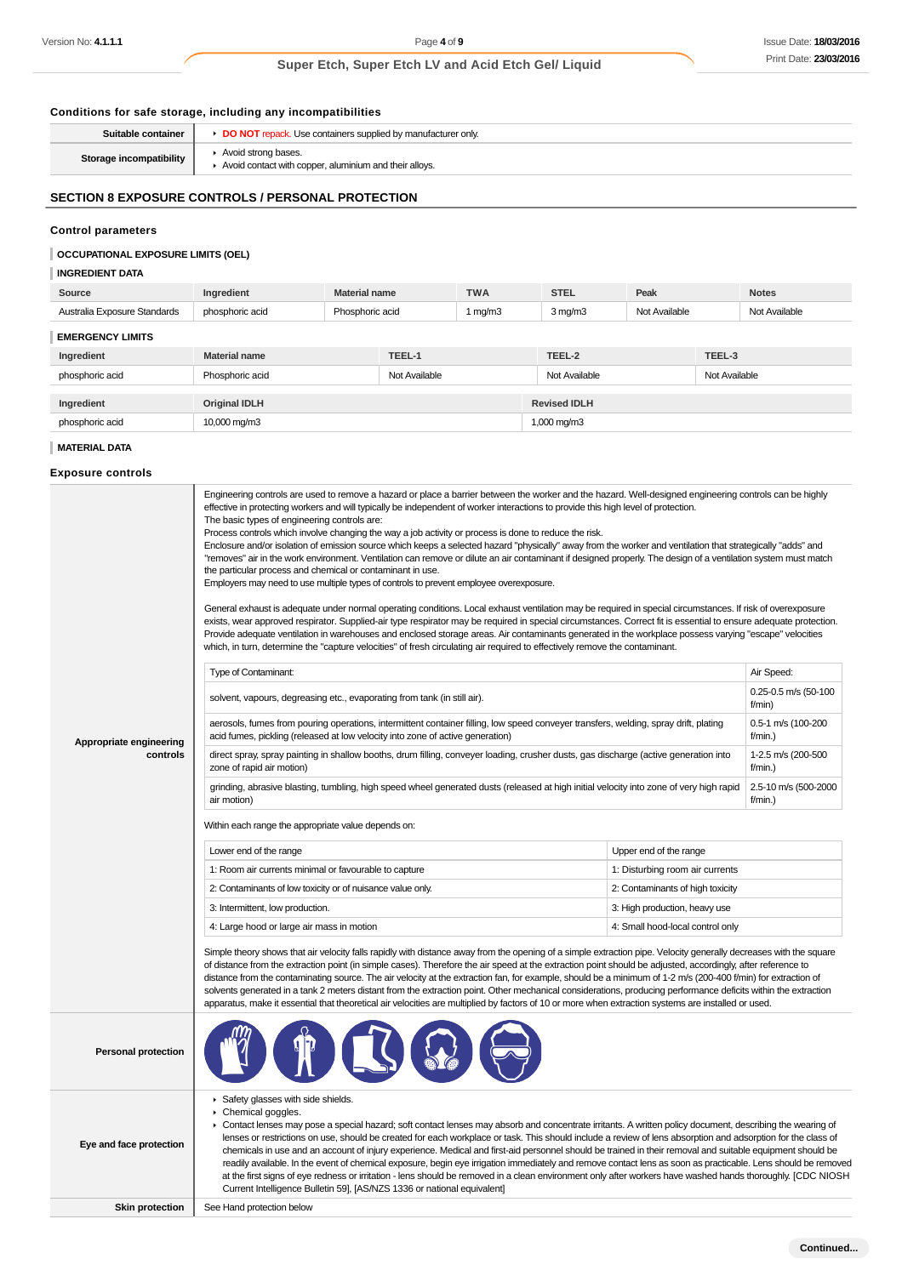## Issue Date: **18/03/2016** Print Date: **23/03/2016**

## **Super Etch, Super Etch LV and Acid Etch Gel/ Liquid**

## **Conditions for safe storage, including any incompatibilities**

| Suitable container      | DO NOT repack. Use containers supplied by manufacturer only                   |
|-------------------------|-------------------------------------------------------------------------------|
| Storage incompatibility | Avoid strong bases.<br>Avoid contact with copper, aluminium and their alloys. |
|                         |                                                                               |

## **SECTION 8 EXPOSURE CONTROLS / PERSONAL PROTECTION**

#### **Control parameters**

#### **OCCUPATIONAL EXPOSURE LIMITS (OEL)**

| <b>INGREDIENT DATA</b>       |                      |                      |               |            |                     |               |               |               |
|------------------------------|----------------------|----------------------|---------------|------------|---------------------|---------------|---------------|---------------|
| Source                       | Ingredient           | <b>Material name</b> |               | <b>TWA</b> | <b>STEL</b>         | Peak          |               | <b>Notes</b>  |
| Australia Exposure Standards | phosphoric acid      | Phosphoric acid      |               | 1 mg/m3    | $3$ mg/m $3$        | Not Available |               | Not Available |
| <b>EMERGENCY LIMITS</b>      |                      |                      |               |            |                     |               |               |               |
| Ingredient                   | <b>Material name</b> |                      | TEEL-1        |            | TEEL-2              |               | TEEL-3        |               |
| phosphoric acid              | Phosphoric acid      |                      | Not Available |            | Not Available       |               | Not Available |               |
|                              |                      |                      |               |            |                     |               |               |               |
| Ingredient                   | <b>Original IDLH</b> |                      |               |            | <b>Revised IDLH</b> |               |               |               |
| phosphoric acid              | 10,000 mg/m3         |                      |               |            | 1,000 mg/m3         |               |               |               |
|                              |                      |                      |               |            |                     |               |               |               |

## **MATERIAL DATA**

**Exposure controls**

|                            | Engineering controls are used to remove a hazard or place a barrier between the worker and the hazard. Well-designed engineering controls can be highly<br>effective in protecting workers and will typically be independent of worker interactions to provide this high level of protection.<br>The basic types of engineering controls are:<br>Process controls which involve changing the way a job activity or process is done to reduce the risk.<br>Enclosure and/or isolation of emission source which keeps a selected hazard "physically" away from the worker and ventilation that strategically "adds" and<br>"removes" air in the work environment. Ventilation can remove or dilute an air contaminant if designed properly. The design of a ventilation system must match<br>the particular process and chemical or contaminant in use.<br>Employers may need to use multiple types of controls to prevent employee overexposure.<br>General exhaust is adequate under normal operating conditions. Local exhaust ventilation may be required in special circumstances. If risk of overexposure<br>exists, wear approved respirator. Supplied-air type respirator may be required in special circumstances. Correct fit is essential to ensure adequate protection.<br>Provide adequate ventilation in warehouses and enclosed storage areas. Air contaminants generated in the workplace possess varying "escape" velocities<br>which, in turn, determine the "capture velocities" of fresh circulating air required to effectively remove the contaminant. |                                    |                                  |  |  |
|----------------------------|----------------------------------------------------------------------------------------------------------------------------------------------------------------------------------------------------------------------------------------------------------------------------------------------------------------------------------------------------------------------------------------------------------------------------------------------------------------------------------------------------------------------------------------------------------------------------------------------------------------------------------------------------------------------------------------------------------------------------------------------------------------------------------------------------------------------------------------------------------------------------------------------------------------------------------------------------------------------------------------------------------------------------------------------------------------------------------------------------------------------------------------------------------------------------------------------------------------------------------------------------------------------------------------------------------------------------------------------------------------------------------------------------------------------------------------------------------------------------------------------------------------------------------------------------------------------------|------------------------------------|----------------------------------|--|--|
|                            | Type of Contaminant:                                                                                                                                                                                                                                                                                                                                                                                                                                                                                                                                                                                                                                                                                                                                                                                                                                                                                                                                                                                                                                                                                                                                                                                                                                                                                                                                                                                                                                                                                                                                                       |                                    | Air Speed:                       |  |  |
|                            | solvent, vapours, degreasing etc., evaporating from tank (in still air).                                                                                                                                                                                                                                                                                                                                                                                                                                                                                                                                                                                                                                                                                                                                                                                                                                                                                                                                                                                                                                                                                                                                                                                                                                                                                                                                                                                                                                                                                                   |                                    | 0.25-0.5 m/s (50-100<br>f/min)   |  |  |
| Appropriate engineering    | aerosols, fumes from pouring operations, intermittent container filling, low speed conveyer transfers, welding, spray drift, plating<br>acid fumes, pickling (released at low velocity into zone of active generation)                                                                                                                                                                                                                                                                                                                                                                                                                                                                                                                                                                                                                                                                                                                                                                                                                                                                                                                                                                                                                                                                                                                                                                                                                                                                                                                                                     |                                    | 0.5-1 m/s (100-200<br>$f/min.$ ) |  |  |
| controls                   | direct spray, spray painting in shallow booths, drum filling, conveyer loading, crusher dusts, gas discharge (active generation into<br>zone of rapid air motion)                                                                                                                                                                                                                                                                                                                                                                                                                                                                                                                                                                                                                                                                                                                                                                                                                                                                                                                                                                                                                                                                                                                                                                                                                                                                                                                                                                                                          |                                    | 1-2.5 m/s (200-500<br>f/min.     |  |  |
|                            | grinding, abrasive blasting, tumbling, high speed wheel generated dusts (released at high initial velocity into zone of very high rapid<br>air motion)                                                                                                                                                                                                                                                                                                                                                                                                                                                                                                                                                                                                                                                                                                                                                                                                                                                                                                                                                                                                                                                                                                                                                                                                                                                                                                                                                                                                                     | 2.5-10 m/s (500-2000<br>$f/min.$ ) |                                  |  |  |
|                            | Within each range the appropriate value depends on:                                                                                                                                                                                                                                                                                                                                                                                                                                                                                                                                                                                                                                                                                                                                                                                                                                                                                                                                                                                                                                                                                                                                                                                                                                                                                                                                                                                                                                                                                                                        |                                    |                                  |  |  |
|                            | Lower end of the range<br>Upper end of the range                                                                                                                                                                                                                                                                                                                                                                                                                                                                                                                                                                                                                                                                                                                                                                                                                                                                                                                                                                                                                                                                                                                                                                                                                                                                                                                                                                                                                                                                                                                           |                                    |                                  |  |  |
|                            | 1: Room air currents minimal or favourable to capture<br>1: Disturbing room air currents                                                                                                                                                                                                                                                                                                                                                                                                                                                                                                                                                                                                                                                                                                                                                                                                                                                                                                                                                                                                                                                                                                                                                                                                                                                                                                                                                                                                                                                                                   |                                    |                                  |  |  |
|                            | 2: Contaminants of low toxicity or of nuisance value only.                                                                                                                                                                                                                                                                                                                                                                                                                                                                                                                                                                                                                                                                                                                                                                                                                                                                                                                                                                                                                                                                                                                                                                                                                                                                                                                                                                                                                                                                                                                 | 2: Contaminants of high toxicity   |                                  |  |  |
|                            | 3: Intermittent, low production.<br>3: High production, heavy use<br>4: Small hood-local control only                                                                                                                                                                                                                                                                                                                                                                                                                                                                                                                                                                                                                                                                                                                                                                                                                                                                                                                                                                                                                                                                                                                                                                                                                                                                                                                                                                                                                                                                      |                                    |                                  |  |  |
|                            | 4: Large hood or large air mass in motion                                                                                                                                                                                                                                                                                                                                                                                                                                                                                                                                                                                                                                                                                                                                                                                                                                                                                                                                                                                                                                                                                                                                                                                                                                                                                                                                                                                                                                                                                                                                  |                                    |                                  |  |  |
|                            | Simple theory shows that air velocity falls rapidly with distance away from the opening of a simple extraction pipe. Velocity generally decreases with the square<br>of distance from the extraction point (in simple cases). Therefore the air speed at the extraction point should be adjusted, accordingly, after reference to<br>distance from the contaminating source. The air velocity at the extraction fan, for example, should be a minimum of 1-2 m/s (200-400 f/min) for extraction of<br>solvents generated in a tank 2 meters distant from the extraction point. Other mechanical considerations, producing performance deficits within the extraction<br>apparatus, make it essential that theoretical air velocities are multiplied by factors of 10 or more when extraction systems are installed or used.                                                                                                                                                                                                                                                                                                                                                                                                                                                                                                                                                                                                                                                                                                                                                |                                    |                                  |  |  |
| <b>Personal protection</b> |                                                                                                                                                                                                                                                                                                                                                                                                                                                                                                                                                                                                                                                                                                                                                                                                                                                                                                                                                                                                                                                                                                                                                                                                                                                                                                                                                                                                                                                                                                                                                                            |                                    |                                  |  |  |
| Eye and face protection    | Safety glasses with side shields.<br>Chemical goggles.<br>• Contact lenses may pose a special hazard; soft contact lenses may absorb and concentrate irritants. A written policy document, describing the wearing of<br>lenses or restrictions on use, should be created for each workplace or task. This should include a review of lens absorption and adsorption for the class of<br>chemicals in use and an account of injury experience. Medical and first-aid personnel should be trained in their removal and suitable equipment should be<br>readily available. In the event of chemical exposure, begin eye irrigation immediately and remove contact lens as soon as practicable. Lens should be removed<br>at the first signs of eye redness or irritation - lens should be removed in a clean environment only after workers have washed hands thoroughly. [CDC NIOSH<br>Current Intelligence Bulletin 59], [AS/NZS 1336 or national equivalent]                                                                                                                                                                                                                                                                                                                                                                                                                                                                                                                                                                                                               |                                    |                                  |  |  |
| <b>Skin protection</b>     | See Hand protection below                                                                                                                                                                                                                                                                                                                                                                                                                                                                                                                                                                                                                                                                                                                                                                                                                                                                                                                                                                                                                                                                                                                                                                                                                                                                                                                                                                                                                                                                                                                                                  |                                    |                                  |  |  |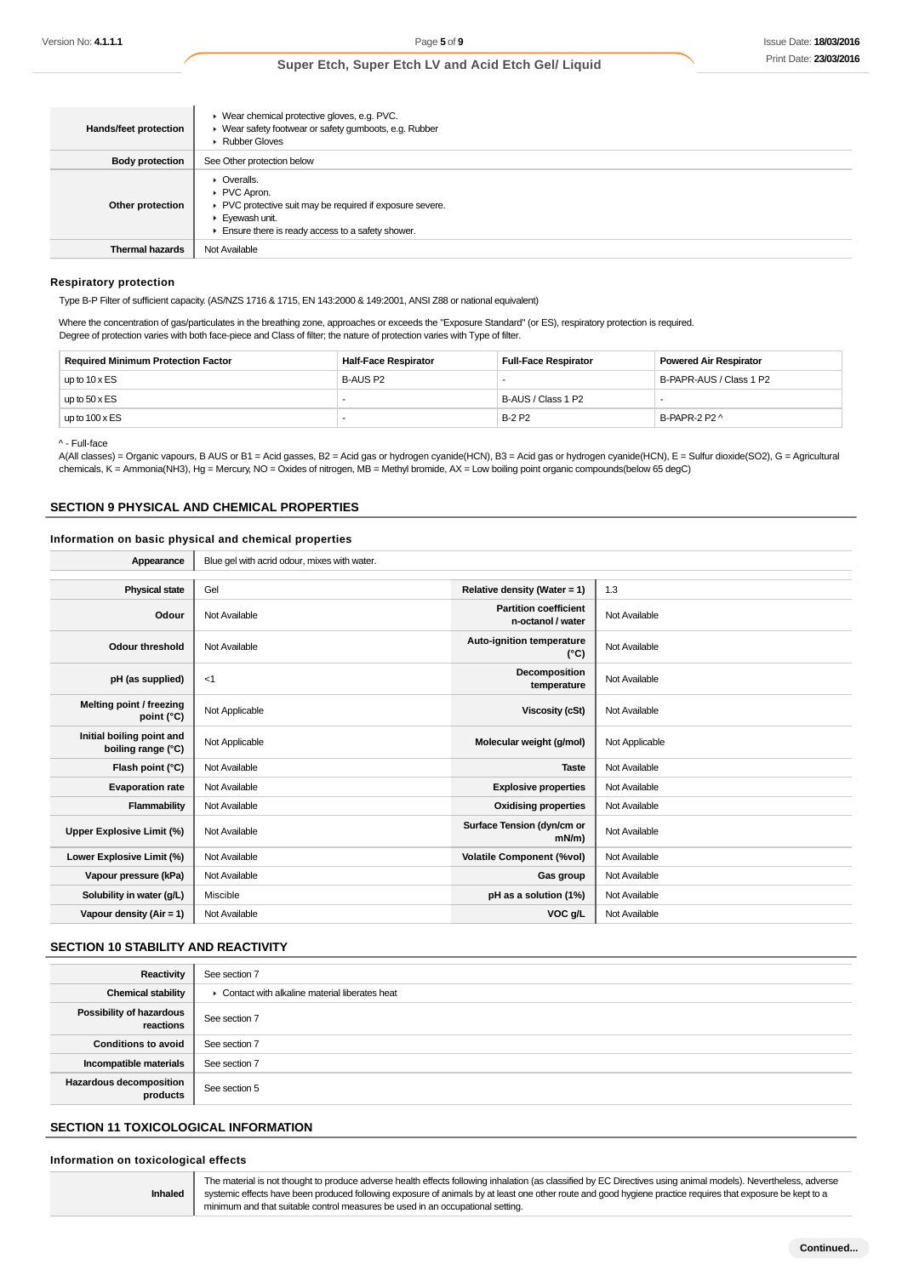| Hands/feet protection  | ▶ Wear chemical protective gloves, e.g. PVC.<br>▶ Wear safety footwear or safety gumboots, e.g. Rubber<br><b>Rubber Gloves</b>                                             |
|------------------------|----------------------------------------------------------------------------------------------------------------------------------------------------------------------------|
| <b>Body protection</b> | See Other protection below                                                                                                                                                 |
| Other protection       | $\triangleright$ Overalls.<br>PVC Apron.<br>▶ PVC protective suit may be required if exposure severe.<br>Eyewash unit.<br>Ensure there is ready access to a safety shower. |
| <b>Thermal hazards</b> | Not Available                                                                                                                                                              |

#### **Respiratory protection**

Type B-P Filter of sufficient capacity. (AS/NZS 1716 & 1715, EN 143:2000 & 149:2001, ANSI Z88 or national equivalent)

Where the concentration of gas/particulates in the breathing zone, approaches or exceeds the "Exposure Standard" (or ES), respiratory protection is required. Degree of protection varies with both face-piece and Class of filter; the nature of protection varies with Type of filter.

| <b>Required Minimum Protection Factor</b> | <b>Half-Face Respirator</b> | <b>Full-Face Respirator</b> | <b>Powered Air Respirator</b> |
|-------------------------------------------|-----------------------------|-----------------------------|-------------------------------|
| up to $10 \times ES$                      | B-AUS P2                    |                             | B-PAPR-AUS / Class 1 P2       |
| up to $50 \times ES$                      |                             | B-AUS / Class 1 P2          |                               |
| up to $100 \times ES$                     |                             | <b>B-2 P2</b>               | B-PAPR-2 P2 ^                 |

^ - Full-face

A(All classes) = Organic vapours, B AUS or B1 = Acid gasses, B2 = Acid gas or hydrogen cyanide(HCN), B3 = Acid gas or hydrogen cyanide(HCN), E = Sulfur dioxide(SO2), G = Agricultural chemicals, K = Ammonia(NH3), Hg = Mercury, NO = Oxides of nitrogen, MB = Methyl bromide, AX = Low boiling point organic compounds(below 65 degC)

#### **SECTION 9 PHYSICAL AND CHEMICAL PROPERTIES**

#### **Information on basic physical and chemical properties**

| Appearance                                      | Blue gel with acrid odour, mixes with water. |                                                   |                |
|-------------------------------------------------|----------------------------------------------|---------------------------------------------------|----------------|
|                                                 |                                              |                                                   |                |
| <b>Physical state</b>                           | Gel                                          | Relative density (Water = 1)                      | 1.3            |
| Odour                                           | Not Available                                | <b>Partition coefficient</b><br>n-octanol / water | Not Available  |
| Odour threshold                                 | Not Available                                | <b>Auto-ignition temperature</b><br>$(^{\circ}C)$ | Not Available  |
| pH (as supplied)                                | $<$ 1                                        | Decomposition<br>temperature                      | Not Available  |
| Melting point / freezing<br>point $(^{\circ}C)$ | Not Applicable                               | <b>Viscosity (cSt)</b>                            | Not Available  |
| Initial boiling point and<br>boiling range (°C) | Not Applicable                               | Molecular weight (g/mol)                          | Not Applicable |
| Flash point (°C)                                | Not Available                                | <b>Taste</b>                                      | Not Available  |
| <b>Evaporation rate</b>                         | Not Available                                | <b>Explosive properties</b>                       | Not Available  |
| Flammability                                    | Not Available                                | <b>Oxidising properties</b>                       | Not Available  |
| Upper Explosive Limit (%)                       | Not Available                                | Surface Tension (dyn/cm or<br>$mN/m$ )            | Not Available  |
| Lower Explosive Limit (%)                       | Not Available                                | <b>Volatile Component (%vol)</b>                  | Not Available  |
| Vapour pressure (kPa)                           | Not Available                                | Gas group                                         | Not Available  |
| Solubility in water (g/L)                       | Miscible                                     | pH as a solution (1%)                             | Not Available  |
| Vapour density (Air = 1)                        | Not Available                                | VOC g/L                                           | Not Available  |

### **SECTION 10 STABILITY AND REACTIVITY**

| Reactivity                                 | See section 7                                   |
|--------------------------------------------|-------------------------------------------------|
| <b>Chemical stability</b>                  | • Contact with alkaline material liberates heat |
| Possibility of hazardous<br>reactions      | See section 7                                   |
| <b>Conditions to avoid</b>                 | See section 7                                   |
| Incompatible materials                     | See section 7                                   |
| <b>Hazardous decomposition</b><br>products | See section 5                                   |

#### **SECTION 11 TOXICOLOGICAL INFORMATION**

#### **Information on toxicological effects**

**Inhaled** The material is not thought to produce adverse health effects following inhalation (as classified by EC Directives using animal models). Nevertheless, adverse systemic effects have been produced following exposure of animals by at least one other route and good hygiene practice requires that exposure be kept to a minimum and that suitable control measures be used in an occupational setting.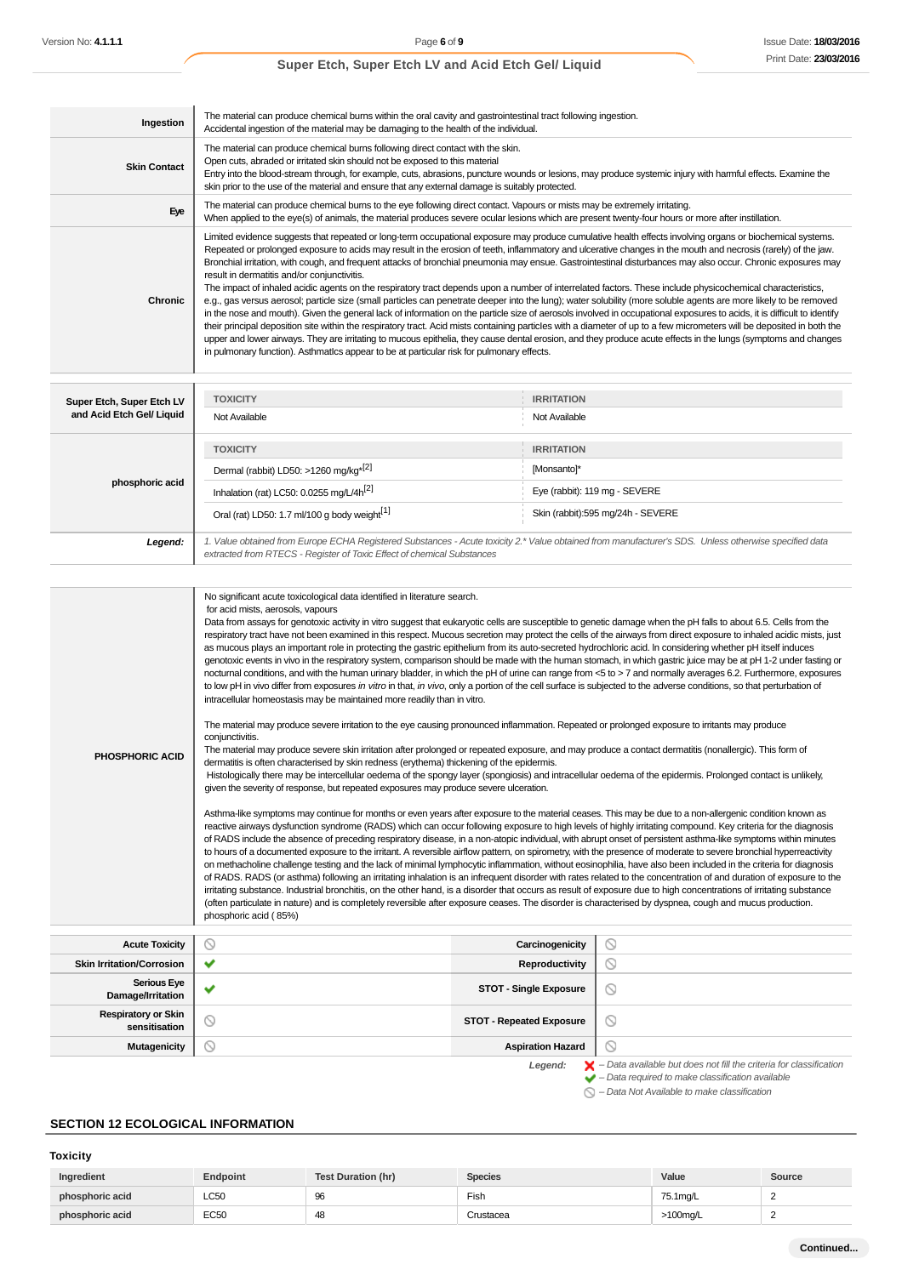| Ingestion                        | The material can produce chemical burns within the oral cavity and gastrointestinal tract following ingestion.<br>Accidental ingestion of the material may be damaging to the health of the individual.                                                                                                                                                                                                                                                                                                                                                                                                                                                                                                                                                                                                                                                                                                                                                                                                                                                                                                                                                                                                                                                                                                                                                                                                                                                                                                                                                                                                                                                                                                                                                                                                                                                                                                                                                                                                                                                                                                                                                                                                                                                                                                                                                                                                                                                                                                                                                                              |                       |                                                                                                                                                                                                                                                                                                                                                                                                                                                                                                                                                                                                                                                                            |  |  |  |
|----------------------------------|--------------------------------------------------------------------------------------------------------------------------------------------------------------------------------------------------------------------------------------------------------------------------------------------------------------------------------------------------------------------------------------------------------------------------------------------------------------------------------------------------------------------------------------------------------------------------------------------------------------------------------------------------------------------------------------------------------------------------------------------------------------------------------------------------------------------------------------------------------------------------------------------------------------------------------------------------------------------------------------------------------------------------------------------------------------------------------------------------------------------------------------------------------------------------------------------------------------------------------------------------------------------------------------------------------------------------------------------------------------------------------------------------------------------------------------------------------------------------------------------------------------------------------------------------------------------------------------------------------------------------------------------------------------------------------------------------------------------------------------------------------------------------------------------------------------------------------------------------------------------------------------------------------------------------------------------------------------------------------------------------------------------------------------------------------------------------------------------------------------------------------------------------------------------------------------------------------------------------------------------------------------------------------------------------------------------------------------------------------------------------------------------------------------------------------------------------------------------------------------------------------------------------------------------------------------------------------------|-----------------------|----------------------------------------------------------------------------------------------------------------------------------------------------------------------------------------------------------------------------------------------------------------------------------------------------------------------------------------------------------------------------------------------------------------------------------------------------------------------------------------------------------------------------------------------------------------------------------------------------------------------------------------------------------------------------|--|--|--|
| <b>Skin Contact</b>              | The material can produce chemical burns following direct contact with the skin.<br>Open cuts, abraded or irritated skin should not be exposed to this material<br>Entry into the blood-stream through, for example, cuts, abrasions, puncture wounds or lesions, may produce systemic injury with harmful effects. Examine the<br>skin prior to the use of the material and ensure that any external damage is suitably protected.                                                                                                                                                                                                                                                                                                                                                                                                                                                                                                                                                                                                                                                                                                                                                                                                                                                                                                                                                                                                                                                                                                                                                                                                                                                                                                                                                                                                                                                                                                                                                                                                                                                                                                                                                                                                                                                                                                                                                                                                                                                                                                                                                   |                       |                                                                                                                                                                                                                                                                                                                                                                                                                                                                                                                                                                                                                                                                            |  |  |  |
| Eye                              | The material can produce chemical burns to the eye following direct contact. Vapours or mists may be extremely irritating.                                                                                                                                                                                                                                                                                                                                                                                                                                                                                                                                                                                                                                                                                                                                                                                                                                                                                                                                                                                                                                                                                                                                                                                                                                                                                                                                                                                                                                                                                                                                                                                                                                                                                                                                                                                                                                                                                                                                                                                                                                                                                                                                                                                                                                                                                                                                                                                                                                                           |                       |                                                                                                                                                                                                                                                                                                                                                                                                                                                                                                                                                                                                                                                                            |  |  |  |
| Chronic                          | When applied to the eye(s) of animals, the material produces severe ocular lesions which are present twenty-four hours or more after instillation.<br>Limited evidence suggests that repeated or long-term occupational exposure may produce cumulative health effects involving organs or biochemical systems.<br>Repeated or prolonged exposure to acids may result in the erosion of teeth, inflammatory and ulcerative changes in the mouth and necrosis (rarely) of the jaw.<br>Bronchial irritation, with cough, and frequent attacks of bronchial pneumonia may ensue. Gastrointestinal disturbances may also occur. Chronic exposures may<br>result in dermatitis and/or conjunctivitis.<br>The impact of inhaled acidic agents on the respiratory tract depends upon a number of interrelated factors. These include physicochemical characteristics,<br>e.g., gas versus aerosol; particle size (small particles can penetrate deeper into the lung); water solubility (more soluble agents are more likely to be removed<br>in the nose and mouth). Given the general lack of information on the particle size of aerosols involved in occupational exposures to acids, it is difficult to identify<br>their principal deposition site within the respiratory tract. Acid mists containing particles with a diameter of up to a few micrometers will be deposited in both the<br>upper and lower airways. They are irritating to mucous epithelia, they cause dental erosion, and they produce acute effects in the lungs (symptoms and changes<br>in pulmonary function). Asthmatics appear to be at particular risk for pulmonary effects.                                                                                                                                                                                                                                                                                                                                                                                                                                                                                                                                                                                                                                                                                                                                                                                                                                                                                                                              |                       |                                                                                                                                                                                                                                                                                                                                                                                                                                                                                                                                                                                                                                                                            |  |  |  |
| Super Etch, Super Etch LV        | <b>TOXICITY</b>                                                                                                                                                                                                                                                                                                                                                                                                                                                                                                                                                                                                                                                                                                                                                                                                                                                                                                                                                                                                                                                                                                                                                                                                                                                                                                                                                                                                                                                                                                                                                                                                                                                                                                                                                                                                                                                                                                                                                                                                                                                                                                                                                                                                                                                                                                                                                                                                                                                                                                                                                                      | <b>IRRITATION</b>     |                                                                                                                                                                                                                                                                                                                                                                                                                                                                                                                                                                                                                                                                            |  |  |  |
| and Acid Etch Gel/ Liquid        | Not Available                                                                                                                                                                                                                                                                                                                                                                                                                                                                                                                                                                                                                                                                                                                                                                                                                                                                                                                                                                                                                                                                                                                                                                                                                                                                                                                                                                                                                                                                                                                                                                                                                                                                                                                                                                                                                                                                                                                                                                                                                                                                                                                                                                                                                                                                                                                                                                                                                                                                                                                                                                        | Not Available         |                                                                                                                                                                                                                                                                                                                                                                                                                                                                                                                                                                                                                                                                            |  |  |  |
|                                  | <b>TOXICITY</b>                                                                                                                                                                                                                                                                                                                                                                                                                                                                                                                                                                                                                                                                                                                                                                                                                                                                                                                                                                                                                                                                                                                                                                                                                                                                                                                                                                                                                                                                                                                                                                                                                                                                                                                                                                                                                                                                                                                                                                                                                                                                                                                                                                                                                                                                                                                                                                                                                                                                                                                                                                      | <b>IRRITATION</b>     |                                                                                                                                                                                                                                                                                                                                                                                                                                                                                                                                                                                                                                                                            |  |  |  |
|                                  | Dermal (rabbit) LD50: >1260 mg/kg <sup>*[2]</sup>                                                                                                                                                                                                                                                                                                                                                                                                                                                                                                                                                                                                                                                                                                                                                                                                                                                                                                                                                                                                                                                                                                                                                                                                                                                                                                                                                                                                                                                                                                                                                                                                                                                                                                                                                                                                                                                                                                                                                                                                                                                                                                                                                                                                                                                                                                                                                                                                                                                                                                                                    | [Monsanto]*           |                                                                                                                                                                                                                                                                                                                                                                                                                                                                                                                                                                                                                                                                            |  |  |  |
| phosphoric acid                  | Inhalation (rat) LC50: 0.0255 mg/L/4h <sup>[2]</sup>                                                                                                                                                                                                                                                                                                                                                                                                                                                                                                                                                                                                                                                                                                                                                                                                                                                                                                                                                                                                                                                                                                                                                                                                                                                                                                                                                                                                                                                                                                                                                                                                                                                                                                                                                                                                                                                                                                                                                                                                                                                                                                                                                                                                                                                                                                                                                                                                                                                                                                                                 |                       | Eye (rabbit): 119 mg - SEVERE                                                                                                                                                                                                                                                                                                                                                                                                                                                                                                                                                                                                                                              |  |  |  |
|                                  | Oral (rat) LD50: 1.7 ml/100 g body weight <sup>[1]</sup>                                                                                                                                                                                                                                                                                                                                                                                                                                                                                                                                                                                                                                                                                                                                                                                                                                                                                                                                                                                                                                                                                                                                                                                                                                                                                                                                                                                                                                                                                                                                                                                                                                                                                                                                                                                                                                                                                                                                                                                                                                                                                                                                                                                                                                                                                                                                                                                                                                                                                                                             |                       | Skin (rabbit):595 mg/24h - SEVERE                                                                                                                                                                                                                                                                                                                                                                                                                                                                                                                                                                                                                                          |  |  |  |
| Legend:                          | 1. Value obtained from Europe ECHA Registered Substances - Acute toxicity 2.* Value obtained from manufacturer's SDS. Unless otherwise specified data<br>extracted from RTECS - Register of Toxic Effect of chemical Substances                                                                                                                                                                                                                                                                                                                                                                                                                                                                                                                                                                                                                                                                                                                                                                                                                                                                                                                                                                                                                                                                                                                                                                                                                                                                                                                                                                                                                                                                                                                                                                                                                                                                                                                                                                                                                                                                                                                                                                                                                                                                                                                                                                                                                                                                                                                                                      |                       |                                                                                                                                                                                                                                                                                                                                                                                                                                                                                                                                                                                                                                                                            |  |  |  |
| <b>PHOSPHORIC ACID</b>           | No significant acute toxicological data identified in literature search.<br>for acid mists, aerosols, vapours<br>Data from assays for genotoxic activity in vitro suggest that eukaryotic cells are susceptible to genetic damage when the pH falls to about 6.5. Cells from the<br>as mucous plays an important role in protecting the gastric epithelium from its auto-secreted hydrochloric acid. In considering whether pH itself induces<br>to low pH in vivo differ from exposures in vitro in that, in vivo, only a portion of the cell surface is subjected to the adverse conditions, so that perturbation of<br>intracellular homeostasis may be maintained more readily than in vitro.<br>The material may produce severe irritation to the eye causing pronounced inflammation. Repeated or prolonged exposure to irritants may produce<br>conjunctivitis.<br>The material may produce severe skin irritation after prolonged or repeated exposure, and may produce a contact dermatitis (nonallergic). This form of<br>dermatitis is often characterised by skin redness (erythema) thickening of the epidermis.<br>Histologically there may be intercellular oedema of the spongy layer (spongiosis) and intracellular oedema of the epidermis. Prolonged contact is unlikely,<br>given the severity of response, but repeated exposures may produce severe ulceration.<br>Asthma-like symptoms may continue for months or even years after exposure to the material ceases. This may be due to a non-allergenic condition known as<br>reactive airways dysfunction syndrome (RADS) which can occur following exposure to high levels of highly irritating compound. Key criteria for the diagnosis<br>of RADS include the absence of preceding respiratory disease, in a non-atopic individual, with abrupt onset of persistent asthma-like symptoms within minutes<br>to hours of a documented exposure to the irritant. A reversible airflow pattern, on spirometry, with the presence of moderate to severe bronchial hyperreactivity<br>on methacholine challenge testing and the lack of minimal lymphocytic inflammation, without eosinophilia, have also been included in the criteria for diagnosis<br>irritating substance. Industrial bronchitis, on the other hand, is a disorder that occurs as result of exposure due to high concentrations of irritating substance<br>(often particulate in nature) and is completely reversible after exposure ceases. The disorder is characterised by dyspnea, cough and mucus production.<br>phosphoric acid (85%) |                       | respiratory tract have not been examined in this respect. Mucous secretion may protect the cells of the airways from direct exposure to inhaled acidic mists, just<br>genotoxic events in vivo in the respiratory system, comparison should be made with the human stomach, in which gastric juice may be at pH 1-2 under fasting or<br>nocturnal conditions, and with the human urinary bladder, in which the pH of urine can range from <5 to > 7 and normally averages 6.2. Furthermore, exposures<br>of RADS. RADS (or asthma) following an irritating inhalation is an infrequent disorder with rates related to the concentration of and duration of exposure to the |  |  |  |
| <b>Acute Toxicity</b>            |                                                                                                                                                                                                                                                                                                                                                                                                                                                                                                                                                                                                                                                                                                                                                                                                                                                                                                                                                                                                                                                                                                                                                                                                                                                                                                                                                                                                                                                                                                                                                                                                                                                                                                                                                                                                                                                                                                                                                                                                                                                                                                                                                                                                                                                                                                                                                                                                                                                                                                                                                                                      | Carcinogenicity       | ∾                                                                                                                                                                                                                                                                                                                                                                                                                                                                                                                                                                                                                                                                          |  |  |  |
| <b>Skin Irritation/Corrosion</b> | ✔                                                                                                                                                                                                                                                                                                                                                                                                                                                                                                                                                                                                                                                                                                                                                                                                                                                                                                                                                                                                                                                                                                                                                                                                                                                                                                                                                                                                                                                                                                                                                                                                                                                                                                                                                                                                                                                                                                                                                                                                                                                                                                                                                                                                                                                                                                                                                                                                                                                                                                                                                                                    | <b>Reproductivity</b> | $\circ$                                                                                                                                                                                                                                                                                                                                                                                                                                                                                                                                                                                                                                                                    |  |  |  |

| <b>Skin Irritation/Corrosion</b>            | $\checkmark$             | Reproductivity                  |                                                                                                                                                                    |
|---------------------------------------------|--------------------------|---------------------------------|--------------------------------------------------------------------------------------------------------------------------------------------------------------------|
| <b>Serious Eye</b><br>Damage/Irritation     | $\overline{\phantom{a}}$ | <b>STOT - Single Exposure</b>   | Y                                                                                                                                                                  |
| <b>Respiratory or Skin</b><br>sensitisation | ∾                        | <b>STOT - Repeated Exposure</b> | Y                                                                                                                                                                  |
| Mutagenicity                                | Y                        | <b>Aspiration Hazard</b>        |                                                                                                                                                                    |
|                                             |                          | Legend:                         | $\blacktriangleright$ - Data available but does not fill the criteria for classification<br>$\blacktriangleright$ - Data required to make classification available |

– Data Not Available to make classification

## **SECTION 12 ECOLOGICAL INFORMATION**

### **Toxicity**

| Ingredient      | Endpoint | <b>Test Duration (hr)</b> | <b>Species</b> | Value       | Source |
|-----------------|----------|---------------------------|----------------|-------------|--------|
| phosphoric acid | LC50     | 96                        | Fish           | 75.1ma/L    |        |
| phosphoric acid | EC50     | -4১                       | Crustacea      | $>100$ mg/L |        |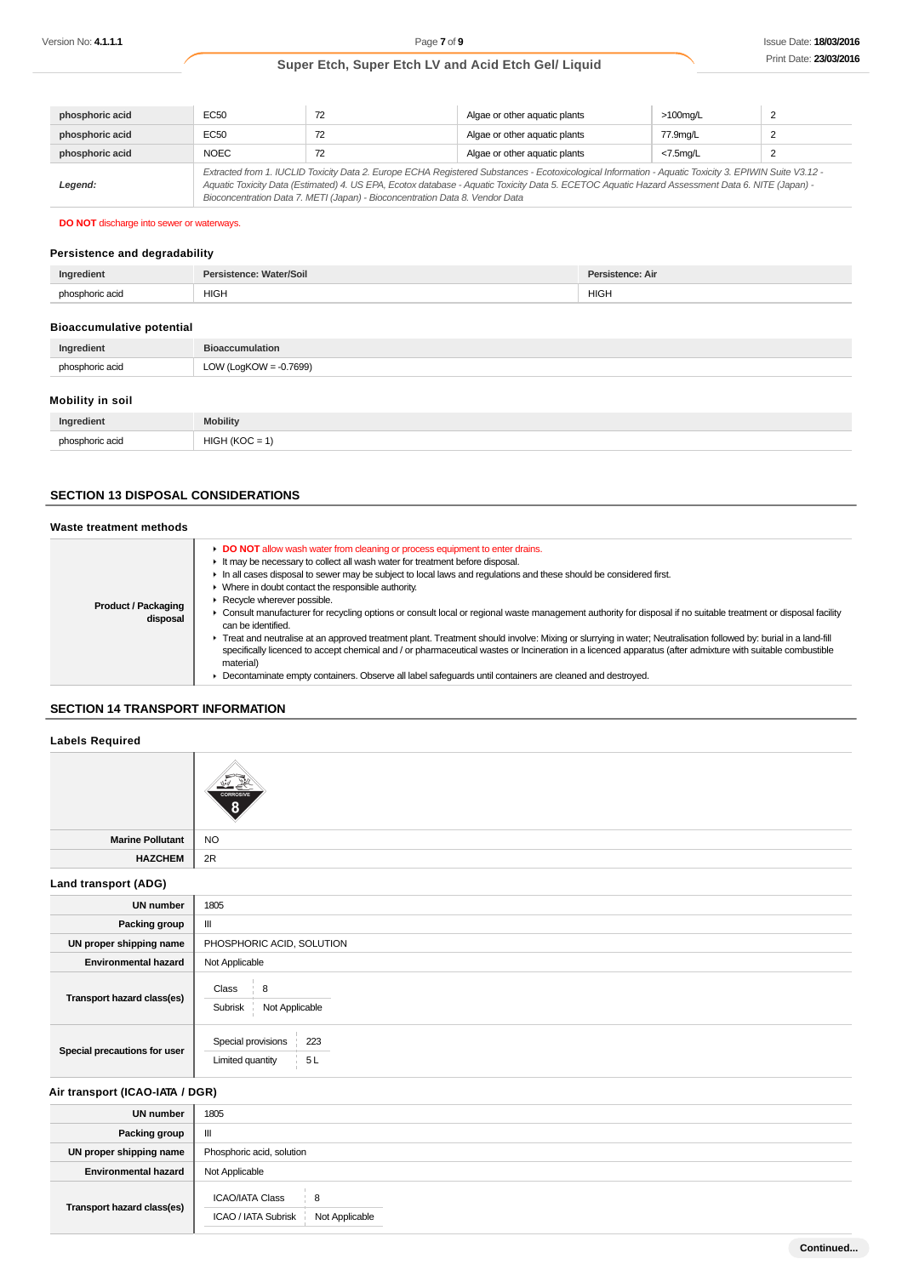| phosphoric acid | <b>EC50</b>                                                                                                                                                                                                                                                                                                                                                                              |    | Algae or other aquatic plants | $>100$ mg/L    |  |
|-----------------|------------------------------------------------------------------------------------------------------------------------------------------------------------------------------------------------------------------------------------------------------------------------------------------------------------------------------------------------------------------------------------------|----|-------------------------------|----------------|--|
| phosphoric acid | <b>EC50</b>                                                                                                                                                                                                                                                                                                                                                                              |    | Algae or other aquatic plants | 77.9ma/L       |  |
| phosphoric acid | <b>NOEC</b>                                                                                                                                                                                                                                                                                                                                                                              | 72 | Algae or other aquatic plants | $<$ 7.5 $ma/L$ |  |
| Legend:         | Extracted from 1. IUCLID Toxicity Data 2. Europe ECHA Registered Substances - Ecotoxicological Information - Aquatic Toxicity 3. EPIWIN Suite V3.12 -<br>Aquatic Toxicity Data (Estimated) 4. US EPA, Ecotox database - Aquatic Toxicity Data 5. ECETOC Aquatic Hazard Assessment Data 6. NITE (Japan) -<br>Bioconcentration Data 7. METI (Japan) - Bioconcentration Data 8. Vendor Data |    |                               |                |  |

### **DO NOT** discharge into sewer or waterways.

#### **Persistence and degradability**

| Ingredient      | Nater/Soil<br>Per: | tence: Air |
|-----------------|--------------------|------------|
| phosphoric acid | <b>HIGH</b>        | HIGH.      |

#### **Bioaccumulative potential**

| <b>PROGRAMMENT DUCTION</b> |                           |
|----------------------------|---------------------------|
| Ingredient                 | <b>Bioaccumulation</b>    |
| phosphoric acid            | LOW (LogKOW = $-0.7699$ ) |

#### **Mobility in soil**

| Ingredient      | <b>Mobility</b>          |
|-----------------|--------------------------|
|                 | <b>HIG</b>               |
| phosphoric acid | $\overline{\phantom{a}}$ |

## **SECTION 13 DISPOSAL CONSIDERATIONS**

| Waste treatment methods                |                                                                                                                                                                                                                                                                                                                                                                                                                                                                                                                                                                                                                                                                                                                                                                                                                                                                                                                                                                                                                             |
|----------------------------------------|-----------------------------------------------------------------------------------------------------------------------------------------------------------------------------------------------------------------------------------------------------------------------------------------------------------------------------------------------------------------------------------------------------------------------------------------------------------------------------------------------------------------------------------------------------------------------------------------------------------------------------------------------------------------------------------------------------------------------------------------------------------------------------------------------------------------------------------------------------------------------------------------------------------------------------------------------------------------------------------------------------------------------------|
| <b>Product / Packaging</b><br>disposal | • DO NOT allow wash water from cleaning or process equipment to enter drains.<br>It may be necessary to collect all wash water for treatment before disposal.<br>In all cases disposal to sewer may be subject to local laws and requlations and these should be considered first.<br>• Where in doubt contact the responsible authority.<br>Recycle wherever possible.<br>► Consult manufacturer for recycling options or consult local or regional waste management authority for disposal if no suitable treatment or disposal facility<br>can be identified.<br>F Treat and neutralise at an approved treatment plant. Treatment should involve: Mixing or slurrying in water; Neutralisation followed by: burial in a land-fill<br>specifically licenced to accept chemical and / or pharmaceutical wastes or Incineration in a licenced apparatus (after admixture with suitable combustible<br>material)<br>Decontaminate empty containers. Observe all label safeguards until containers are cleaned and destroyed. |

## **SECTION 14 TRANSPORT INFORMATION**

#### **Labels Required**

|                         | <b>CORROSIVE</b> |
|-------------------------|------------------|
| <b>Marine Pollutant</b> | <b>NO</b>        |
| <b>HAZCHEM</b>          | 2R               |

#### **Land transport (ADG)**

| <b>UN number</b>             | 1805                                                 |
|------------------------------|------------------------------------------------------|
| Packing group                | $\mathbf{III}$                                       |
| UN proper shipping name      | PHOSPHORIC ACID, SOLUTION                            |
| <b>Environmental hazard</b>  | Not Applicable                                       |
| Transport hazard class(es)   | Class<br>8<br>Not Applicable<br>Subrisk              |
| Special precautions for user | Special provisions<br>223<br>5 L<br>Limited quantity |

### **Air transport (ICAO-IATA / DGR)**

| <b>UN</b> number            | 1805                                                                 |  |
|-----------------------------|----------------------------------------------------------------------|--|
| Packing group               | $\mathbf{m}$                                                         |  |
| UN proper shipping name     | Phosphoric acid, solution                                            |  |
| <b>Environmental hazard</b> | Not Applicable                                                       |  |
| Transport hazard class(es)  | <b>ICAO/IATA Class</b><br>8<br>ICAO / IATA Subrisk<br>Not Applicable |  |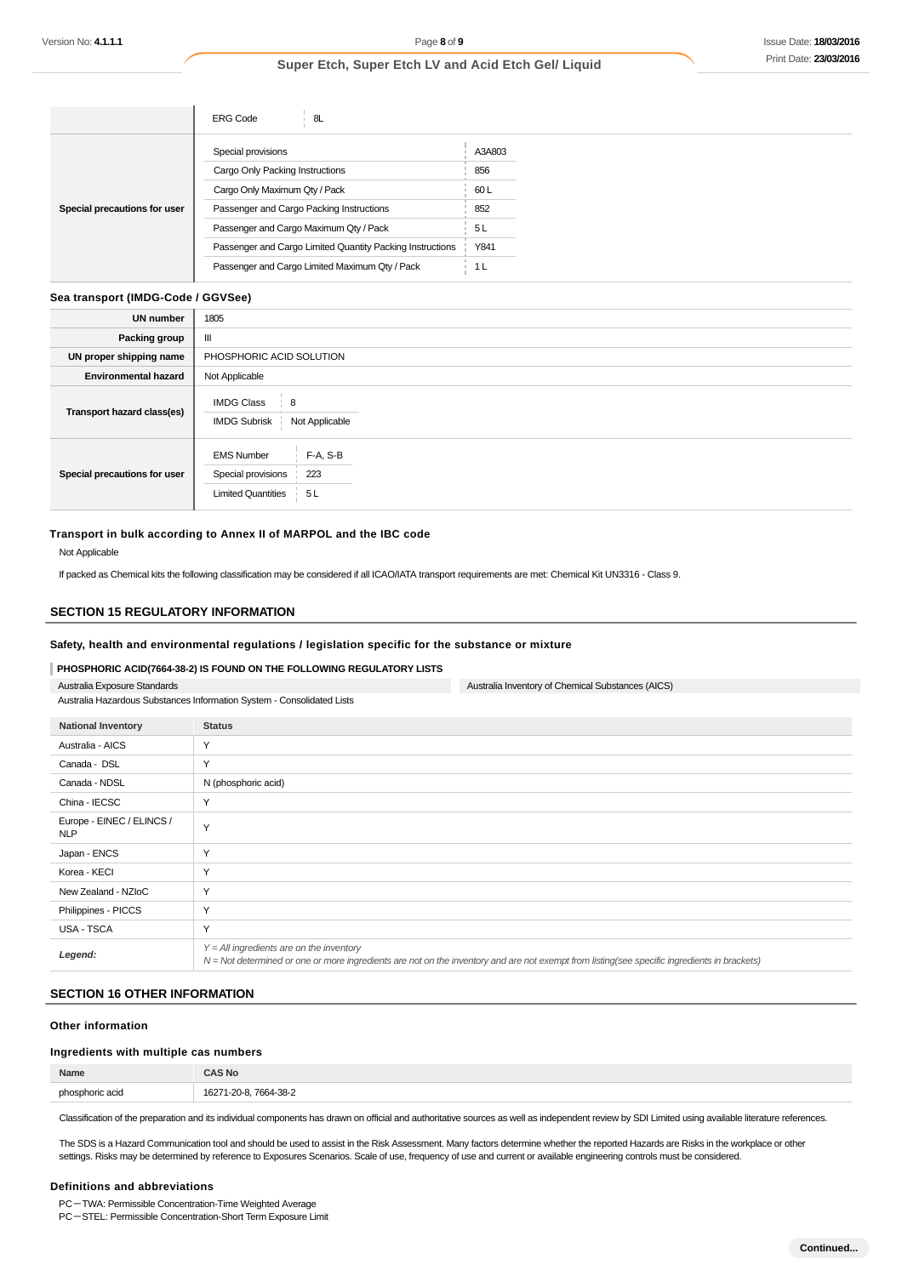|                              | <b>ERG Code</b><br>8L                                     |        |
|------------------------------|-----------------------------------------------------------|--------|
|                              | Special provisions                                        | A3A803 |
|                              | Cargo Only Packing Instructions                           | 856    |
|                              | Cargo Only Maximum Qty / Pack                             | 60 L   |
| Special precautions for user | Passenger and Cargo Packing Instructions                  | 852    |
|                              | Passenger and Cargo Maximum Qty / Pack                    | 5L     |
|                              | Passenger and Cargo Limited Quantity Packing Instructions | Y841   |
|                              | Passenger and Cargo Limited Maximum Qty / Pack            | 1 L    |

#### **Sea transport (IMDG-Code / GGVSee)**

| <b>UN number</b>             | 1805                                                                          |
|------------------------------|-------------------------------------------------------------------------------|
| Packing group                | Ш                                                                             |
| UN proper shipping name      | PHOSPHORIC ACID SOLUTION                                                      |
| <b>Environmental hazard</b>  | Not Applicable                                                                |
| Transport hazard class(es)   | <b>IMDG Class</b><br>$\frac{1}{2}$ 8<br>Not Applicable<br><b>IMDG Subrisk</b> |
| Special precautions for user | F-A, S-B<br><b>EMS Number</b><br>Special provisions<br>223                    |
|                              | <b>Limited Quantities</b><br>5L                                               |

#### **Transport in bulk according to Annex II of MARPOL and the IBC code**

#### Not Applicable

If packed as Chemical kits the following classification may be considered if all ICAO/IATA transport requirements are met: Chemical Kit UN3316 - Class 9.

#### **SECTION 15 REGULATORY INFORMATION**

#### **Safety, health and environmental regulations / legislation specific for the substance or mixture**

#### **PHOSPHORIC ACID(7664-38-2) IS FOUND ON THE FOLLOWING REGULATORY LISTS**

Australia Exposure Standards

Australia Hazardous Substances Information System - Consolidated Lists

| <b>National Inventory</b>               | <b>Status</b>                                                                                                                                                                              |
|-----------------------------------------|--------------------------------------------------------------------------------------------------------------------------------------------------------------------------------------------|
| Australia - AICS                        | Y                                                                                                                                                                                          |
| Canada - DSL                            | Y                                                                                                                                                                                          |
| Canada - NDSL                           | N (phosphoric acid)                                                                                                                                                                        |
| China - IECSC                           | Y                                                                                                                                                                                          |
| Europe - EINEC / ELINCS /<br><b>NLP</b> | Y                                                                                                                                                                                          |
| Japan - ENCS                            | Υ                                                                                                                                                                                          |
| Korea - KECI                            | Y                                                                                                                                                                                          |
| New Zealand - NZIoC                     | Y                                                                                                                                                                                          |
| Philippines - PICCS                     | Y                                                                                                                                                                                          |
| <b>USA - TSCA</b>                       | Y                                                                                                                                                                                          |
| Legend:                                 | $Y = All$ ingredients are on the inventory<br>N = Not determined or one or more ingredients are not on the inventory and are not exempt from listing(see specific ingredients in brackets) |

Australia Inventory of Chemical Substances (AICS)

#### **SECTION 16 OTHER INFORMATION**

#### **Other information**

#### **Ingredients with multiple cas numbers**

| Name                          |                                          |
|-------------------------------|------------------------------------------|
| pho:<br>horic acir<br>аы<br>. | 1627<br>7664-38-2<br>ິບບໍ<br>.<br>$\sim$ |

Classification of the preparation and its individual components has drawn on official and authoritative sources as well as independent review by SDI Limited using available literature references.

The SDS is a Hazard Communication tool and should be used to assist in the Risk Assessment. Many factors determine whether the reported Hazards are Risks in the workplace or other settings. Risks may be determined by reference to Exposures Scenarios. Scale of use, frequency of use and current or available engineering controls must be considered.

#### **Definitions and abbreviations**

PC-TWA: Permissible Concentration-Time Weighted Average

PC-STEL: Permissible Concentration-Short Term Exposure Limit